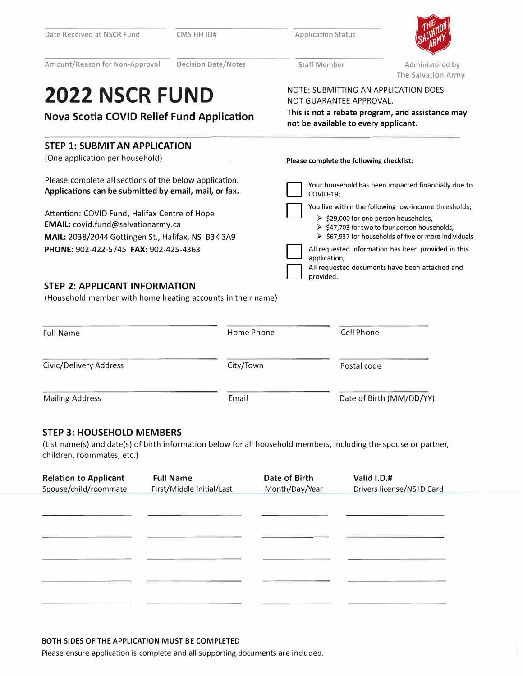| Date Received at NSCR Fund                                                                                                                | CMS HH ID#                 | <b>Application Status</b>                                                                |                                                                                                                                                                |  |  |
|-------------------------------------------------------------------------------------------------------------------------------------------|----------------------------|------------------------------------------------------------------------------------------|----------------------------------------------------------------------------------------------------------------------------------------------------------------|--|--|
| Amount/Reason for Non-Approval                                                                                                            | <b>Decision Date/Notes</b> | <b>Staff Member</b>                                                                      | Administered by<br>The Salvation Army                                                                                                                          |  |  |
| <b>2022 NSCR FUND</b>                                                                                                                     |                            | NOTE: SUBMITTING AN APPLICATION DOES<br>NOT GUARANTEE APPROVAL.                          |                                                                                                                                                                |  |  |
| <b>Nova Scotia COVID Relief Fund Application</b>                                                                                          |                            | This is not a rebate program, and assistance may<br>not be available to every applicant. |                                                                                                                                                                |  |  |
| <b>STEP 1: SUBMIT AN APPLICATION</b>                                                                                                      |                            |                                                                                          |                                                                                                                                                                |  |  |
| (One application per household)                                                                                                           |                            | Please complete the following checklist:                                                 |                                                                                                                                                                |  |  |
| Please complete all sections of the below application.<br>Applications can be submitted by email, mail, or fax.                           |                            | COVID-19;                                                                                | Your household has been impacted financially due to<br>You live within the following low-income thresholds;                                                    |  |  |
| Attention: COVID Fund, Halifax Centre of Hope<br>EMAIL: covid.fund@salvationarmy.ca<br>MAIL: 2038/2044 Gottingen St., Halifax, NS B3K 3A9 |                            |                                                                                          | > \$29,000 for one-person households,<br>> \$47,703 for two to four person households,<br>$\triangleright$ \$67,937 for households of five or more individuals |  |  |
| PHONE: 902-422-5745 FAX: 902-425-4363                                                                                                     |                            | application;<br>provided.                                                                | All requested information has been provided in this<br>All requested documents have been attached and                                                          |  |  |
| <b>STEP 2: APPLICANT INFORMATION</b><br>(Household member with home heating accounts in their name)                                       |                            |                                                                                          |                                                                                                                                                                |  |  |
| <b>Full Name</b>                                                                                                                          | <b>Home Phone</b>          | <b>Cell Phone</b>                                                                        |                                                                                                                                                                |  |  |
| Civic/Delivery Address                                                                                                                    | City/Town                  | Postal code                                                                              |                                                                                                                                                                |  |  |
| <b>Mailing Address</b>                                                                                                                    | Email                      |                                                                                          | Date of Birth (MM/DD/YY)                                                                                                                                       |  |  |
|                                                                                                                                           |                            |                                                                                          |                                                                                                                                                                |  |  |

## **STEP 3: HOUSEHOLD MEMBERS**

(List name(s) and date(s) of birth information below for all household members, including the spouse or partner, children, roommates, etc.)

| <b>Relation to Applicant</b><br>Spouse/child/roommate | <b>Full Name</b><br>First/Middle Initial/Last | Date of Birth<br>Month/Day/Year | Valid I.D.#<br>Drivers license/NS ID Card |
|-------------------------------------------------------|-----------------------------------------------|---------------------------------|-------------------------------------------|
|                                                       |                                               |                                 |                                           |
|                                                       |                                               |                                 |                                           |
|                                                       |                                               |                                 |                                           |
|                                                       |                                               |                                 |                                           |
|                                                       |                                               |                                 |                                           |

#### **BOTH SIDES OF THE APPLICATION MUST BE COMPLETED**

Please ensure application is complete and all supporting documents are included.